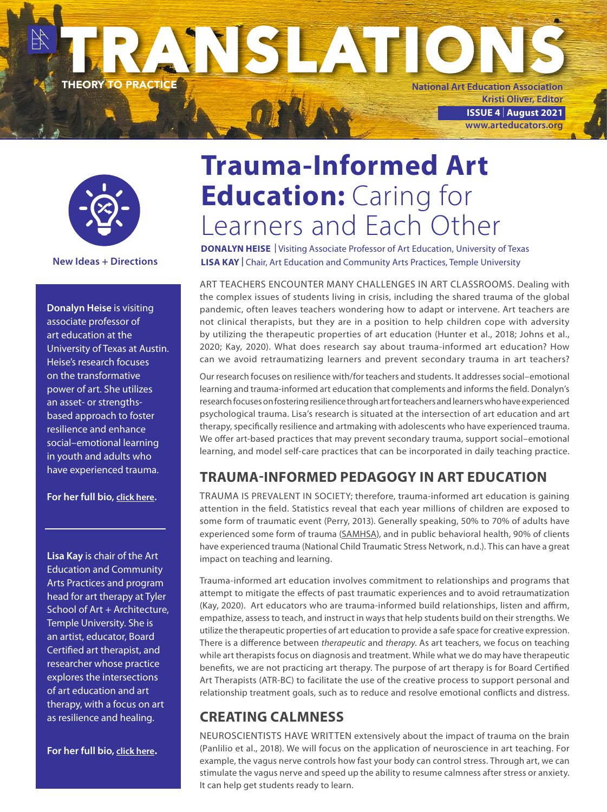



**New Ideas + Directions**

**Donalyn Heise** is visiting associate professor of art education at the University of Texas at Austin. Heise's research focuses on the transformative power of art. She utilizes an asset- or strengthsbased approach to foster resilience and enhance social–emotional learning in youth and adults who have experienced trauma.

**For her full bio, [click here.](https://art.utexas.edu/news/donalyn-heise-joins-art-education-faculty-visiting-associate-professor)**

**Lisa Kay** is chair of the Art Education and Community Arts Practices and program head for art therapy at Tyler School of Art + Architecture, Temple University. She is an artist, educator, Board Certified art therapist, and researcher whose practice explores the intersections of art education and art therapy, with a focus on art as resilience and healing.

**For her full bio, [click here](https://tyler.temple.edu/faculty/lisa-kay-edd).**

# **Trauma-Informed Art Education: Caring for** Learners and Each Other

**DONALYN HEISE |** Visiting Associate Professor of Art Education, University of Texas **LISA KAY |** Chair, Art Education and Community Arts Practices, Temple University

ART TEACHERS ENCOUNTER MANY CHALLENGES IN ART CLASSROOMS. Dealing with the complex issues of students living in crisis, including the shared trauma of the global pandemic, often leaves teachers wondering how to adapt or intervene. Art teachers are not clinical therapists, but they are in a position to help children cope with adversity by utilizing the therapeutic properties of art education (Hunter et al., 2018; Johns et al., 2020; Kay, 2020). What does research say about trauma-informed art education? How can we avoid retraumatizing learners and prevent secondary trauma in art teachers?

Our research focuses on resilience with/for teachers and students. It addresses social–emotional learning and trauma-informed art education that complements and informs the field. Donalyn's research focuses on fostering resilience through art for teachers and learners who have experienced psychological trauma. Lisa's research is situated at the intersection of art education and art therapy, specifically resilience and artmaking with adolescents who have experienced trauma. We offer art-based practices that may prevent secondary trauma, support social–emotional learning, and model self-care practices that can be incorporated in daily teaching practice.

#### **TRAUMA-INFORMED PEDAGOGY IN ART EDUCATION**

TRAUMA IS PREVALENT IN SOCIETY; therefore, trauma-informed art education is gaining attention in the field. Statistics reveal that each year millions of children are exposed to some form of traumatic event (Perry, 2013). Generally speaking, 50% to 70% of adults have experienced some form of trauma [\(SAMHSA\)](https://www.samhsa.gov/), and in public behavioral health, 90% of clients have experienced trauma (National Child Traumatic Stress Network, n.d.). This can have a great impact on teaching and learning.

Trauma-informed art education involves commitment to relationships and programs that attempt to mitigate the effects of past traumatic experiences and to avoid retraumatization (Kay, 2020). Art educators who are trauma-informed build relationships, listen and affirm, empathize, assess to teach, and instruct in ways that help students build on their strengths. We utilize the therapeutic properties of art education to provide a safe space for creative expression. There is a difference between *therapeutic* and *therapy*. As art teachers, we focus on teaching while art therapists focus on diagnosis and treatment. While what we do may have therapeutic benefits, we are not practicing art therapy. The purpose of art therapy is for Board Certified Art Therapists (ATR-BC) to facilitate the use of the creative process to support personal and relationship treatment goals, such as to reduce and resolve emotional conflicts and distress.

## **CREATING CALMNESS**

NEUROSCIENTISTS HAVE WRITTEN extensively about the impact of trauma on the brain (Panlilio et al., 2018). We will focus on the application of neuroscience in art teaching. For example, the vagus nerve controls how fast your body can control stress. Through art, we can stimulate the vagus nerve and speed up the ability to resume calmness after stress or anxiety. It can help get students ready to learn.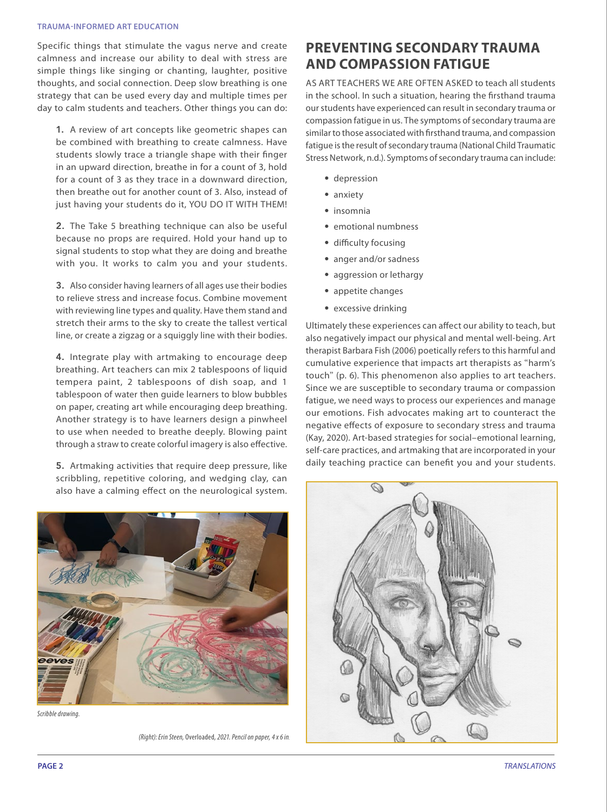#### **TRAUMA-INFORMED ART EDUCATION**

Specific things that stimulate the vagus nerve and create calmness and increase our ability to deal with stress are simple things like singing or chanting, laughter, positive thoughts, and social connection. Deep slow breathing is one strategy that can be used every day and multiple times per day to calm students and teachers. Other things you can do:

1. A review of art concepts like geometric shapes can be combined with breathing to create calmness. Have students slowly trace a triangle shape with their finger in an upward direction, breathe in for a count of 3, hold for a count of 3 as they trace in a downward direction, then breathe out for another count of 3. Also, instead of just having your students do it, YOU DO IT WITH THEM!

2. The Take 5 breathing technique can also be useful because no props are required. Hold your hand up to signal students to stop what they are doing and breathe with you. It works to calm you and your students.

3. Also consider having learners of all ages use their bodies to relieve stress and increase focus. Combine movement with reviewing line types and quality. Have them stand and stretch their arms to the sky to create the tallest vertical line, or create a zigzag or a squiggly line with their bodies.

4. Integrate play with artmaking to encourage deep breathing. Art teachers can mix 2 tablespoons of liquid tempera paint, 2 tablespoons of dish soap, and 1 tablespoon of water then guide learners to blow bubbles on paper, creating art while encouraging deep breathing. Another strategy is to have learners design a pinwheel to use when needed to breathe deeply. Blowing paint through a straw to create colorful imagery is also effective.

5. Artmaking activities that require deep pressure, like scribbling, repetitive coloring, and wedging clay, can also have a calming effect on the neurological system.



*Scribble drawing.*

*(Right): Erin Steen,* Overloaded*, 2021. Pencil on paper, 4 x 6 in.*

#### **PREVENTING SECONDARY TRAUMA AND COMPASSION FATIGUE**

AS ART TEACHERS WE ARE OFTEN ASKED to teach all students in the school. In such a situation, hearing the firsthand trauma our students have experienced can result in secondary trauma or compassion fatigue in us. The symptoms of secondary trauma are similar to those associated with firsthand trauma, and compassion fatigue is the result of secondary trauma (National Child Traumatic Stress Network, n.d.). Symptoms of secondary trauma can include:

- depression
- anxiety
- insomnia
- emotional numbness
- difficulty focusing
- anger and/or sadness
- aggression or lethargy
- appetite changes
- excessive drinking

Ultimately these experiences can affect our ability to teach, but also negatively impact our physical and mental well-being. Art therapist Barbara Fish (2006) poetically refers to this harmful and cumulative experience that impacts art therapists as "harm's touch" (p. 6). This phenomenon also applies to art teachers. Since we are susceptible to secondary trauma or compassion fatigue, we need ways to process our experiences and manage our emotions. Fish advocates making art to counteract the negative effects of exposure to secondary stress and trauma (Kay, 2020). Art-based strategies for social–emotional learning, self-care practices, and artmaking that are incorporated in your daily teaching practice can benefit you and your students.

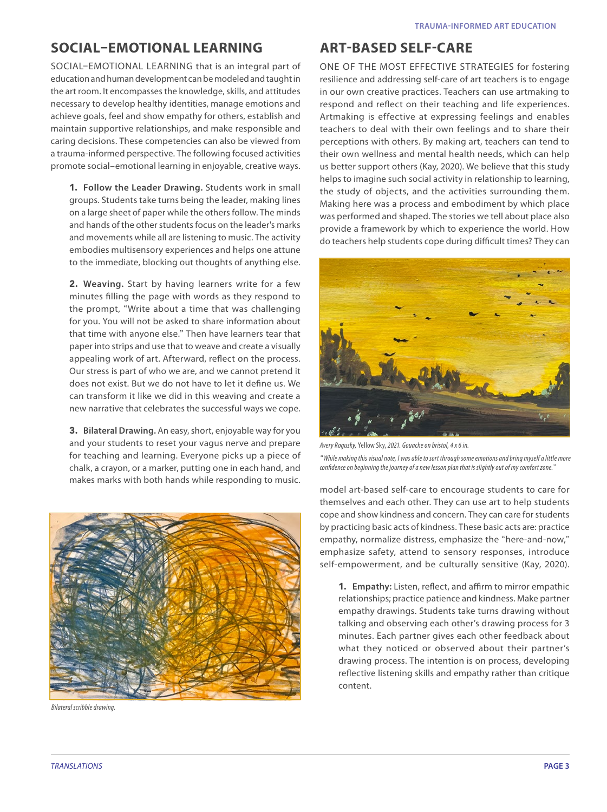### **SOCIAL–EMOTIONAL LEARNING**

SOCIAL–EMOTIONAL LEARNING that is an integral part of education and human development can be modeled and taught in the art room. It encompasses the knowledge, skills, and attitudes necessary to develop healthy identities, manage emotions and achieve goals, feel and show empathy for others, establish and maintain supportive relationships, and make responsible and caring decisions. These competencies can also be viewed from a trauma-informed perspective. The following focused activities promote social–emotional learning in enjoyable, creative ways.

1. **Follow the Leader Drawing.** Students work in small groups. Students take turns being the leader, making lines on a large sheet of paper while the others follow. The minds and hands of the other students focus on the leader's marks and movements while all are listening to music. The activity embodies multisensory experiences and helps one attune to the immediate, blocking out thoughts of anything else.

2. **Weaving.** Start by having learners write for a few minutes filling the page with words as they respond to the prompt, "Write about a time that was challenging for you. You will not be asked to share information about that time with anyone else." Then have learners tear that paper into strips and use that to weave and create a visually appealing work of art. Afterward, reflect on the process. Our stress is part of who we are, and we cannot pretend it does not exist. But we do not have to let it define us. We can transform it like we did in this weaving and create a new narrative that celebrates the successful ways we cope.

3. **Bilateral Drawing.** An easy, short, enjoyable way for you and your students to reset your vagus nerve and prepare for teaching and learning. Everyone picks up a piece of chalk, a crayon, or a marker, putting one in each hand, and makes marks with both hands while responding to music.



*Bilateral scribble drawing.*

#### **ART-BASED SELF-CARE**

ONE OF THE MOST EFFECTIVE STRATEGIES for fostering resilience and addressing self-care of art teachers is to engage in our own creative practices. Teachers can use artmaking to respond and reflect on their teaching and life experiences. Artmaking is effective at expressing feelings and enables teachers to deal with their own feelings and to share their perceptions with others. By making art, teachers can tend to their own wellness and mental health needs, which can help us better support others (Kay, 2020). We believe that this study helps to imagine such social activity in relationship to learning, the study of objects, and the activities surrounding them. Making here was a process and embodiment by which place was performed and shaped. The stories we tell about place also provide a framework by which to experience the world. How do teachers help students cope during difficult times? They can



*Avery Rogusky,* Yellow Sky, *2021. Gouache on bristol, 4 x 6 in. "While making this visual note, I was able to sort through some emotions and bring myself a little more confidence on beginning the journey of a new lesson plan that is slightly out of my comfort zone."*

model art-based self-care to encourage students to care for themselves and each other. They can use art to help students cope and show kindness and concern. They can care for students by practicing basic acts of kindness. These basic acts are: practice empathy, normalize distress, emphasize the "here-and-now," emphasize safety, attend to sensory responses, introduce self-empowerment, and be culturally sensitive (Kay, 2020).

1. **Empathy:** Listen, reflect, and affirm to mirror empathic relationships; practice patience and kindness. Make partner empathy drawings. Students take turns drawing without talking and observing each other's drawing process for 3 minutes. Each partner gives each other feedback about what they noticed or observed about their partner's drawing process. The intention is on process, developing reflective listening skills and empathy rather than critique content.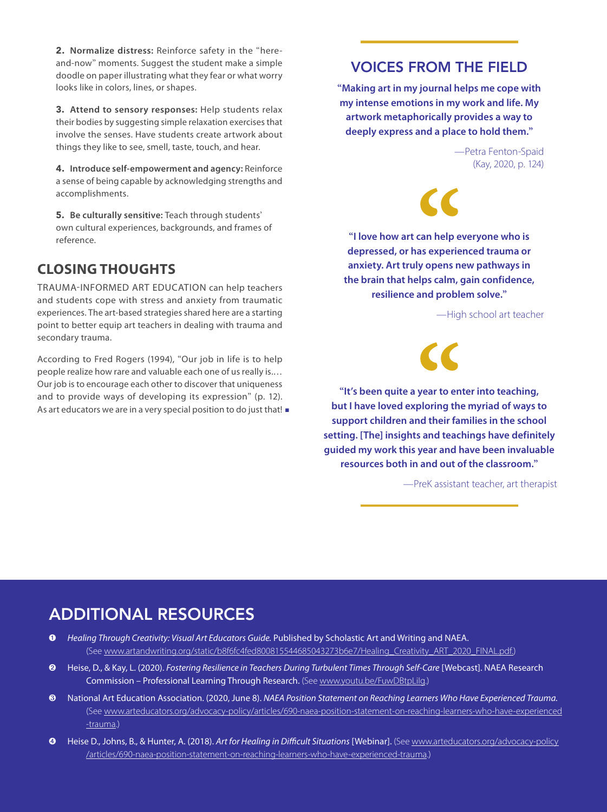2. **Normalize distress:** Reinforce safety in the "hereand-now" moments. Suggest the student make a simple doodle on paper illustrating what they fear or what worry looks like in colors, lines, or shapes.

3. **Attend to sensory responses:** Help students relax their bodies by suggesting simple relaxation exercises that involve the senses. Have students create artwork about things they like to see, smell, taste, touch, and hear.

4. **Introduce self-empowerment and agency:** Reinforce a sense of being capable by acknowledging strengths and accomplishments.

5. **Be culturally sensitive:** Teach through students' own cultural experiences, backgrounds, and frames of reference.

#### **CLOSING THOUGHTS**

TRAUMA-INFORMED ART EDUCATION can help teachers and students cope with stress and anxiety from traumatic experiences. The art-based strategies shared here are a starting point to better equip art teachers in dealing with trauma and secondary trauma.

According to Fred Rogers (1994), "Our job in life is to help people realize how rare and valuable each one of us really is.… Our job is to encourage each other to discover that uniqueness and to provide ways of developing its expression" (p. 12). As art educators we are in a very special position to do just that! ■

#### VOICES FROM THE FIELD

**"Making art in my journal helps me cope with my intense emotions in my work and life. My artwork metaphorically provides a way to deeply express and a place to hold them."**

> —Petra Fenton-Spaid (Kay, 2020, p. 124)

**"I love how art can help everyone who is depressed, or has experienced trauma or anxiety. Art truly opens new pathways in the brain that helps calm, gain confidence, resilience and problem solve."**

—High school art teacher



**"It's been quite a year to enter into teaching, but I have loved exploring the myriad of ways to support children and their families in the school setting. [The] insights and teachings have definitely guided my work this year and have been invaluable resources both in and out of the classroom."**

—PreK assistant teacher, art therapist

## ADDITIONAL RESOURCES

- ➊ *Healing Through Creativity: Visual Art Educators Guide.* Published by Scholastic Art and Writing and NAEA. (See [www.artandwriting.org/static/b8f6fc4fed800815544685043273b6e7/Healing\\_Creativity\\_ART\\_2020\\_FINAL.pdf](https://www.artandwriting.org/static/b8f6fc4fed800815544685043273b6e7/Healing_Creativity_ART_2020_FINAL.pdf).)
- ➋ Heise, D., & Kay, L. (2020). *Fostering Resilience in Teachers During Turbulent Times Through Self-Care* [Webcast]. NAEA Research Commission - Professional Learning Through Research. (See www.youtu.be/FuwDBtpLilg.)
- ❸ National Art Education Association. (2020, June 8). *NAEA Position Statement on Reaching Learners Who Have Experienced Trauma.* (See [www.arteducators.org/advocacy-policy/articles/690-naea-position-statement-on-reaching-learners-who-have-experienced](https://www.arteducators.org/advocacy-policy/articles/690-naea-position-statement-on-reaching-learners-who-have-experienced-trauma) [-trauma.](https://www.arteducators.org/advocacy-policy/articles/690-naea-position-statement-on-reaching-learners-who-have-experienced-trauma))
- ➍ Heise D., Johns, B., & Hunter, A. (2018). *Art for Healing in Difficult Situations* [Webinar]. (See [www.arteducators.org/advocacy-policy](https://www.arteducators.org/advocacy-policy/articles/690-naea-position-statement-on-reaching-learners-who-have-experienced-trauma) [/articles/690-naea-position-statement-on-reaching-learners-who-have-experienced-trauma.](https://www.arteducators.org/advocacy-policy/articles/690-naea-position-statement-on-reaching-learners-who-have-experienced-trauma))